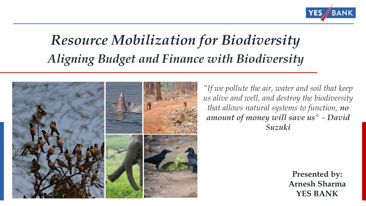

# *Resource Mobilization for Biodiversity Aligning Budget and Finance with Biodiversity*



*"If we pollute the air, water and soil that keep us alive and well, and destroy the biodiversity that allows natural systems to function, no amount of money will save us" – David Suzuki*

> **Presented by: Arnesh Sharma YES BANK**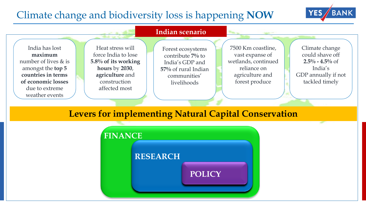#### Climate change and biodiversity loss is happening **NOW**





# **FINANCE Levers for implementing Natural Capital Conservation**

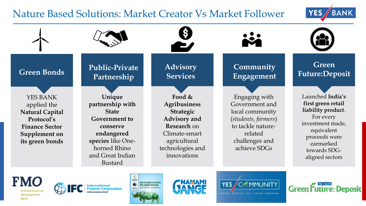#### Nature Based Solutions: Market Creator Vs Market Follower





**FMO** Development Bank









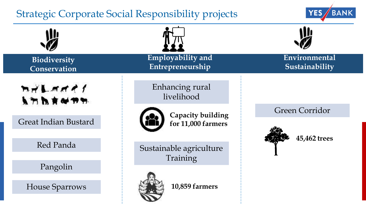### Strategic Corporate Social Responsibility projects



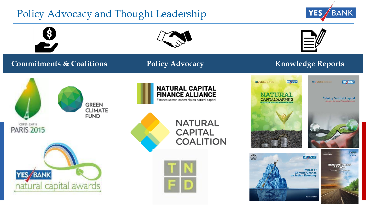## Policy Advocacy and Thought Leadership